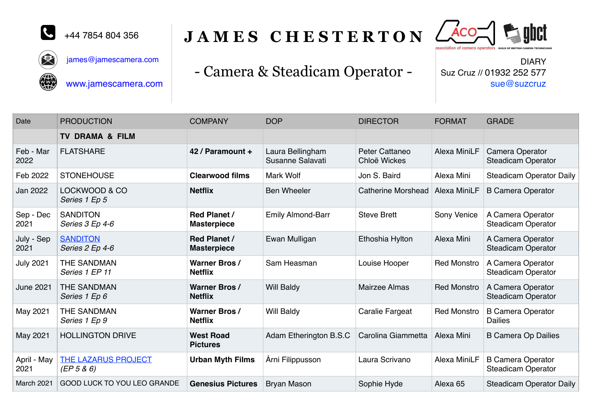

叉

# JAMES CHESTERTON  $\ell$



[james@jamescamera.com](mailto:james@jamescamera.com)



[www.jamescamera.com](http://www.steadicamjc.co.uk)

# - Camera & Steadicam Operator -

DIARY Suz Cruz // 01932 252 577 sue@suzcruz

| Date                | <b>PRODUCTION</b>                  | <b>COMPANY</b>                            | <b>DOP</b>                           | <b>DIRECTOR</b>                | <b>FORMAT</b>       | <b>GRADE</b>                                          |
|---------------------|------------------------------------|-------------------------------------------|--------------------------------------|--------------------------------|---------------------|-------------------------------------------------------|
|                     | <b>TV DRAMA &amp; FILM</b>         |                                           |                                      |                                |                     |                                                       |
| Feb - Mar<br>2022   | <b>FLATSHARE</b>                   | 42 / Paramount +                          | Laura Bellingham<br>Susanne Salavati | Peter Cattaneo<br>Chloë Wickes | Alexa MiniLF        | Camera Operator<br><b>Steadicam Operator</b>          |
| Feb 2022            | <b>STONEHOUSE</b>                  | <b>Clearwood films</b>                    | <b>Mark Wolf</b>                     | Jon S. Baird                   | Alexa Mini          | <b>Steadicam Operator Daily</b>                       |
| Jan 2022            | LOCKWOOD & CO<br>Series 1 Ep 5     | <b>Netflix</b>                            | <b>Ben Wheeler</b>                   | Catherine Morshead             | <b>Alexa MiniLF</b> | <b>B Camera Operator</b>                              |
| Sep - Dec<br>2021   | <b>SANDITON</b><br>Series 3 Ep 4-6 | <b>Red Planet /</b><br><b>Masterpiece</b> | <b>Emily Almond-Barr</b>             | <b>Steve Brett</b>             | Sony Venice         | A Camera Operator<br><b>Steadicam Operator</b>        |
| July - Sep<br>2021  | <b>SANDITON</b><br>Series 2 Ep 4-6 | <b>Red Planet /</b><br><b>Masterpiece</b> | Ewan Mulligan                        | Ethoshia Hylton                | Alexa Mini          | A Camera Operator<br><b>Steadicam Operator</b>        |
| <b>July 2021</b>    | THE SANDMAN<br>Series 1 EP 11      | <b>Warner Bros /</b><br><b>Netflix</b>    | Sam Heasman                          | Louise Hooper                  | <b>Red Monstro</b>  | A Camera Operator<br><b>Steadicam Operator</b>        |
| <b>June 2021</b>    | THE SANDMAN<br>Series 1 Ep 6       | <b>Warner Bros/</b><br><b>Netflix</b>     | <b>Will Baldy</b>                    | <b>Mairzee Almas</b>           | <b>Red Monstro</b>  | A Camera Operator<br><b>Steadicam Operator</b>        |
| May 2021            | THE SANDMAN<br>Series 1 Ep 9       | <b>Warner Bros/</b><br><b>Netflix</b>     | <b>Will Baldy</b>                    | Caralie Fargeat                | <b>Red Monstro</b>  | <b>B Camera Operator</b><br><b>Dailies</b>            |
| May 2021            | <b>HOLLINGTON DRIVE</b>            | <b>West Road</b><br><b>Pictures</b>       | Adam Etherington B.S.C               | Carolina Giammetta             | Alexa Mini          | <b>B Camera Op Dailies</b>                            |
| April - May<br>2021 | THE LAZARUS PROJECT<br>(EP 5 & 6)  | <b>Urban Myth Films</b>                   | Árni Filippusson                     | Laura Scrivano                 | Alexa MiniLF        | <b>B Camera Operator</b><br><b>Steadicam Operator</b> |
| March 2021          | GOOD LUCK TO YOU LEO GRANDE        | <b>Genesius Pictures</b>                  | <b>Bryan Mason</b>                   | Sophie Hyde                    | Alexa <sub>65</sub> | <b>Steadicam Operator Daily</b>                       |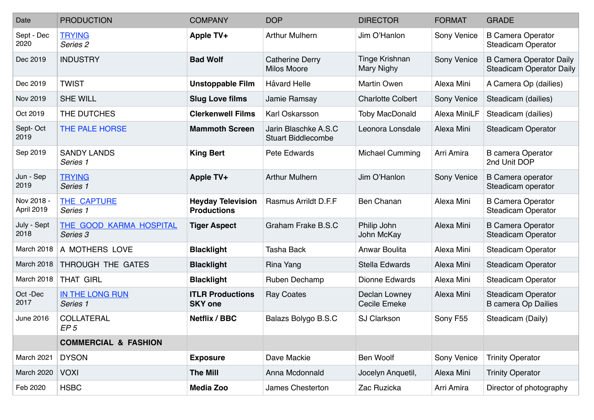| Date                     | <b>PRODUCTION</b>                          | <b>COMPANY</b>                                 | <b>DOP</b>                                        | <b>DIRECTOR</b>                      | <b>FORMAT</b> | <b>GRADE</b>                                                      |
|--------------------------|--------------------------------------------|------------------------------------------------|---------------------------------------------------|--------------------------------------|---------------|-------------------------------------------------------------------|
| Sept - Dec<br>2020       | <b>TRYING</b><br>Series 2                  | Apple TV+                                      | <b>Arthur Mulhern</b>                             | Jim O'Hanlon                         | Sony Venice   | <b>B Camera Operator</b><br><b>Steadicam Operator</b>             |
| Dec 2019                 | <b>INDUSTRY</b>                            | <b>Bad Wolf</b>                                | <b>Catherine Derry</b><br><b>Milos Moore</b>      | Tinge Krishnan<br>Mary Nighy         | Sony Venice   | <b>B Camera Operator Daily</b><br><b>Steadicam Operator Daily</b> |
| Dec 2019                 | <b>TWIST</b>                               | <b>Unstoppable Film</b>                        | <b>Håvard Helle</b>                               | Martin Owen                          | Alexa Mini    | A Camera Op (dailies)                                             |
| Nov 2019                 | <b>SHE WILL</b>                            | <b>Slug Love films</b>                         | Jamie Ramsay                                      | <b>Charlotte Colbert</b>             | Sony Venice   | Steadicam (dailies)                                               |
| Oct 2019                 | THE DUTCHES                                | <b>Clerkenwell Films</b>                       | Karl Oskarsson                                    | <b>Toby MacDonald</b>                | Alexa MiniLF  | Steadicam (dailies)                                               |
| Sept-Oct<br>2019         | THE PALE HORSE                             | <b>Mammoth Screen</b>                          | Jarin Blaschke A.S.C<br><b>Stuart Biddlecombe</b> | Leonora Lonsdale                     | Alexa Mini    | <b>Steadicam Operator</b>                                         |
| Sep 2019                 | <b>SANDY LANDS</b><br>Series 1             | <b>King Bert</b>                               | Pete Edwards                                      | <b>Michael Cumming</b>               | Arri Amira    | <b>B</b> camera Operator<br>2nd Unit DOP                          |
| Jun - Sep<br>2019        | <b>TRYING</b><br>Series 1                  | Apple TV+                                      | <b>Arthur Mulhern</b>                             | Jim O'Hanlon                         | Sony Venice   | <b>B</b> Camera operator<br>Steadicam operator                    |
| Nov 2018 -<br>April 2019 | <b>THE CAPTURE</b><br>Series 1             | <b>Heyday Television</b><br><b>Productions</b> | Rasmus Arrildt D.F.F                              | <b>Ben Chanan</b>                    | Alexa Mini    | <b>B Camera Operator</b><br><b>Steadicam Operator</b>             |
| July - Sept<br>2018      | <b>THE GOOD KARMA HOSPITAL</b><br>Series 3 | <b>Tiger Aspect</b>                            | Graham Frake B.S.C                                | Philip John<br>John McKay            | Alexa Mini    | <b>B Camera Operator</b><br><b>Steadicam Operator</b>             |
| March 2018               | A MOTHERS LOVE                             | <b>Blacklight</b>                              | <b>Tasha Back</b>                                 | Anwar Boulita                        | Alexa Mini    | <b>Steadicam Operator</b>                                         |
| March 2018               | THROUGH THE GATES                          | <b>Blacklight</b>                              | Rina Yang                                         | Stella Edwards                       | Alexa Mini    | <b>Steadicam Operator</b>                                         |
| March 2018               | <b>THAT GIRL</b>                           | <b>Blacklight</b>                              | Ruben Dechamp                                     | <b>Dionne Edwards</b>                | Alexa Mini    | <b>Steadicam Operator</b>                                         |
| Oct-Dec<br>2017          | IN THE LONG RUN<br>Series 1                | <b>ITLR Productions</b><br><b>SKY one</b>      | <b>Ray Coates</b>                                 | Declan Lowney<br><b>Cecile Emeke</b> | Alexa Mini    | <b>Steadicam Operator</b><br><b>B</b> camera Op Dailies           |
| June 2016                | <b>COLLATERAL</b><br>EP <sub>5</sub>       | Netflix / BBC                                  | Balazs Bolygo B.S.C                               | <b>SJ Clarkson</b>                   | Sony F55      | Steadicam (Daily)                                                 |
|                          | <b>COMMERCIAL &amp; FASHION</b>            |                                                |                                                   |                                      |               |                                                                   |
| March 2021               | <b>DYSON</b>                               | <b>Exposure</b>                                | Dave Mackie                                       | Ben Woolf                            | Sony Venice   | <b>Trinity Operator</b>                                           |
| March 2020               | <b>VOXI</b>                                | <b>The Mill</b>                                | Anna Mcdonnald                                    | Jocelyn Anquetil,                    | Alexa Mini    | <b>Trinity Operator</b>                                           |
| Feb 2020                 | <b>HSBC</b>                                | <b>Media Zoo</b>                               | James Chesterton                                  | Zac Ruzicka                          | Arri Amira    | Director of photography                                           |